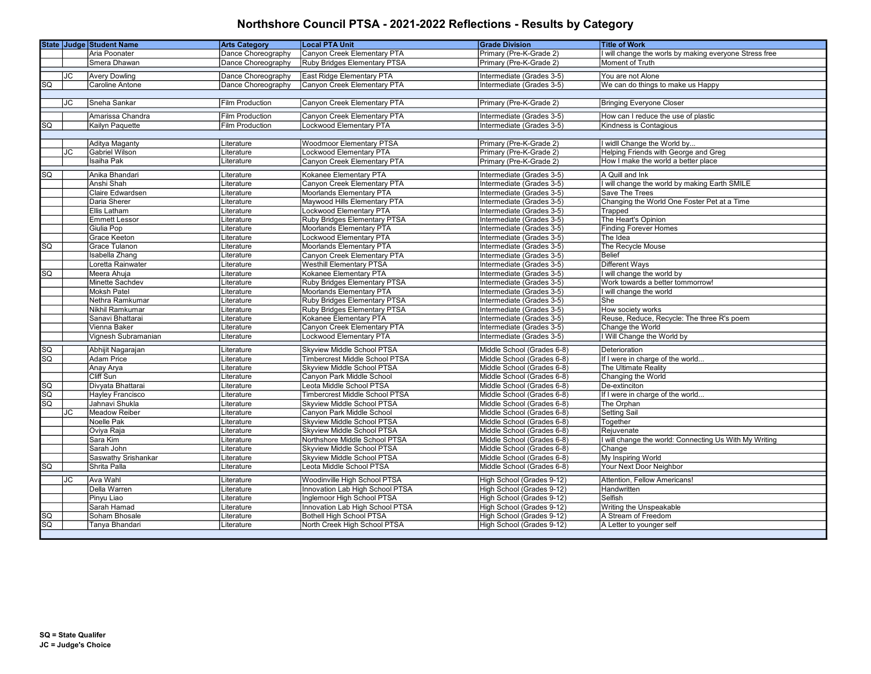|                 |           | <b>State Judge Student Name</b>     | <b>Arts Category</b>     | <b>Local PTA Unit</b>                                       | <b>Grade Division</b>                                    | <b>Title of Work</b>                                                        |
|-----------------|-----------|-------------------------------------|--------------------------|-------------------------------------------------------------|----------------------------------------------------------|-----------------------------------------------------------------------------|
|                 |           | Aria Poonater                       | Dance Choreography       | Canyon Creek Elementary PTA                                 | Primary (Pre-K-Grade 2)                                  | I will change the worls by making everyone Stress free                      |
|                 |           | Smera Dhawan                        | Dance Choreography       | Ruby Bridges Elementary PTSA                                | Primary (Pre-K-Grade 2)                                  | Moment of Truth                                                             |
|                 | <b>JC</b> | <b>Avery Dowling</b>                | Dance Choreography       | East Ridge Elementary PTA                                   | Intermediate (Grades 3-5)                                | You are not Alone                                                           |
| SQ              |           | <b>Caroline Antone</b>              | Dance Choreography       | Canyon Creek Elementary PTA                                 | Intermediate (Grades 3-5)                                | We can do things to make us Happy                                           |
|                 |           |                                     |                          |                                                             |                                                          |                                                                             |
|                 | JС        | Sneha Sankar                        | <b>Film Production</b>   | Canyon Creek Elementary PTA                                 | Primary (Pre-K-Grade 2)                                  | <b>Bringing Everyone Closer</b>                                             |
|                 |           |                                     |                          |                                                             |                                                          |                                                                             |
|                 |           | Amarissa Chandra                    | <b>Film Production</b>   | Canyon Creek Elementary PTA                                 | Intermediate (Grades 3-5)                                | How can I reduce the use of plastic                                         |
| SQ              |           | Kailyn Paquette                     | <b>Film Production</b>   | Lockwood Elementary PTA                                     | Intermediate (Grades 3-5)                                | Kindness is Contagious                                                      |
|                 |           |                                     |                          |                                                             |                                                          |                                                                             |
|                 |           | Aditya Maganty                      | Literature               | <b>Woodmoor Elementary PTSA</b>                             | Primary (Pre-K-Grade 2)                                  | I widll Change the World by                                                 |
|                 | JC        | <b>Gabriel Wilson</b><br>Isaiha Pak | Literature<br>Literature | Lockwood Elementary PTA                                     | Primary (Pre-K-Grade 2)                                  | Helping Friends with George and Greg<br>How I make the world a better place |
|                 |           |                                     |                          | Canyon Creek Elementary PTA                                 | Primary (Pre-K-Grade 2)                                  |                                                                             |
| SQ              |           | Anika Bhandari                      | Literature               | Kokanee Elementary PTA                                      | Intermediate (Grades 3-5)                                | A Quill and Ink                                                             |
|                 |           | Anshi Shah                          | Literature               | Canyon Creek Elementary PTA                                 | Intermediate (Grades 3-5)                                | I will change the world by making Earth SMILE                               |
|                 |           | Claire Edwardsen                    | Literature               | Moorlands Elementary PTA                                    | Intermediate (Grades 3-5)                                | Save The Trees                                                              |
|                 |           | Daria Sherer                        | Literature               | Maywood Hills Elementary PTA                                | Intermediate (Grades 3-5)                                | Changing the World One Foster Pet at a Time                                 |
|                 |           | Ellis Latham                        | Literature               | Lockwood Elementary PTA                                     | Intermediate (Grades 3-5)                                | Trapped                                                                     |
|                 |           | <b>Emmett Lessor</b>                | Literature               | Ruby Bridges Elementary PTSA                                | Intermediate (Grades 3-5)                                | The Heart's Opinion                                                         |
|                 |           | Giulia Pop                          | Literature               | Moorlands Elementary PTA                                    | Intermediate (Grades 3-5)                                | <b>Finding Forever Homes</b>                                                |
|                 |           | Grace Keeton                        | Literature               | Lockwood Elementary PTA                                     | Intermediate (Grades 3-5)                                | The Idea                                                                    |
| SG              |           | Grace Tulanon                       | Literature               | Moorlands Elementary PTA                                    | Intermediate (Grades 3-5)                                | The Recycle Mouse                                                           |
|                 |           | <b>Isabella Zhang</b>               | Literature               | Canyon Creek Elementary PTA                                 | Intermediate (Grades 3-5)                                | <b>Belief</b>                                                               |
|                 |           | Loretta Rainwater                   | Literature               | <b>Westhill Elementary PTSA</b>                             | Intermediate (Grades 3-5)                                | <b>Different Ways</b>                                                       |
| $\overline{SQ}$ |           | Meera Ahuja                         | Literature               | Kokanee Elementary PTA                                      | Intermediate (Grades 3-5)                                | will change the world by                                                    |
|                 |           | Minette Sachdev                     | Literature               | Ruby Bridges Elementary PTSA                                | Intermediate (Grades 3-5)                                | Work towards a better tommorrow!                                            |
|                 |           | <b>Moksh Patel</b>                  | Literature               | Moorlands Elementary PTA                                    | Intermediate (Grades 3-5)                                | will change the world                                                       |
|                 |           | Nethra Ramkumar                     | Literature               | Ruby Bridges Elementary PTSA                                | Intermediate (Grades 3-5)                                | She                                                                         |
|                 |           | Nikhil Ramkumar<br>Sanavi Bhattarai | .iterature               | Ruby Bridges Elementary PTSA<br>Kokanee Elementary PTA      | Intermediate (Grades 3-5)<br>Intermediate (Grades 3-5)   | How society works<br>Reuse, Reduce, Recycle: The three R's poem             |
|                 |           | Vienna Baker                        | Literature<br>Literature | Canyon Creek Elementary PTA                                 | Intermediate (Grades 3-5)                                | Change the World                                                            |
|                 |           | Vignesh Subramanian                 | Literature               | Lockwood Elementary PTA                                     | Intermediate (Grades 3-5)                                | I Will Change the World by                                                  |
|                 |           |                                     |                          |                                                             |                                                          |                                                                             |
| $\overline{SQ}$ |           | Abhijit Nagarajan                   | Literature               | Skyview Middle School PTSA                                  | Middle School (Grades 6-8)                               | Deterioration                                                               |
| $\overline{SQ}$ |           | Adam Price                          | Literature               | <b>Timbercrest Middle School PTSA</b>                       | Middle School (Grades 6-8)                               | If I were in charge of the world                                            |
|                 |           | Anay Arya                           | Literature               | Skyview Middle School PTSA                                  | Middle School (Grades 6-8)                               | The Ultimate Reality                                                        |
|                 |           | Cliff Sun                           | Literature               | Canyon Park Middle School                                   | Middle School (Grades 6-8)                               | Changing the World                                                          |
| $\overline{SQ}$ |           | Divyata Bhattarai                   | Literature               | Leota Middle School PTSA                                    | Middle School (Grades 6-8)                               | De-extinciton                                                               |
| $\overline{SQ}$ |           | <b>Hayley Francisco</b>             | Literature               | <b>Timbercrest Middle School PTSA</b>                       | Middle School (Grades 6-8)                               | If I were in charge of the world.                                           |
| $\overline{SO}$ |           | Jahnavi Shukla                      | .iterature               | Skyview Middle School PTSA                                  | Middle School (Grades 6-8)                               | The Orphan                                                                  |
|                 | JC        | <b>Meadow Reiber</b>                | Literature               | Canyon Park Middle School                                   | Middle School (Grades 6-8)                               | Setting Sail                                                                |
|                 |           | Noelle Pak                          | Literature               | Skyview Middle School PTSA                                  | Middle School (Grades 6-8)                               | Together                                                                    |
|                 |           | Oviya Raja                          | .iterature               | Skyview Middle School PTSA                                  | Middle School (Grades 6-8)                               | Rejuvenate                                                                  |
|                 |           | Sara Kim<br>Sarah John              | Literature<br>Literature | Northshore Middle School PTSA<br>Skyview Middle School PTSA | Middle School (Grades 6-8)<br>Middle School (Grades 6-8) | will change the world: Connecting Us With My Writing<br>Change              |
|                 |           | Saswathy Srishankar                 | Literature               | <b>Skyview Middle School PTSA</b>                           | Middle School (Grades 6-8)                               | My Inspiring World                                                          |
| $\overline{SQ}$ |           | Shrita Palla                        | Literature               | Leota Middle School PTSA                                    | Middle School (Grades 6-8)                               | Your Next Door Neighbor                                                     |
|                 |           |                                     |                          |                                                             |                                                          |                                                                             |
|                 | <b>JC</b> | <b>Ava Wahl</b>                     | Literature               | Woodinville High School PTSA                                | High School (Grades 9-12)                                | Attention, Fellow Americans!                                                |
|                 |           | Della Warren                        | Literature               | Innovation Lab High School PTSA                             | High School (Grades 9-12)                                | Handwritten                                                                 |
|                 |           | Pinyu Liao                          | Literature               | Inglemoor High School PTSA                                  | High School (Grades 9-12)                                | Selfish                                                                     |
|                 |           | Sarah Hamad                         | .iterature               | Innovation Lab High School PTSA                             | High School (Grades 9-12)                                | Writing the Unspeakable                                                     |
| $\overline{SQ}$ |           | Soham Bhosale                       | Literature               | <b>Bothell High School PTSA</b>                             | High School (Grades 9-12)                                | A Stream of Freedom                                                         |
| $\overline{SQ}$ |           | Tanya Bhandari                      | Literature               | North Creek High School PTSA                                | High School (Grades 9-12)                                | A Letter to younger self                                                    |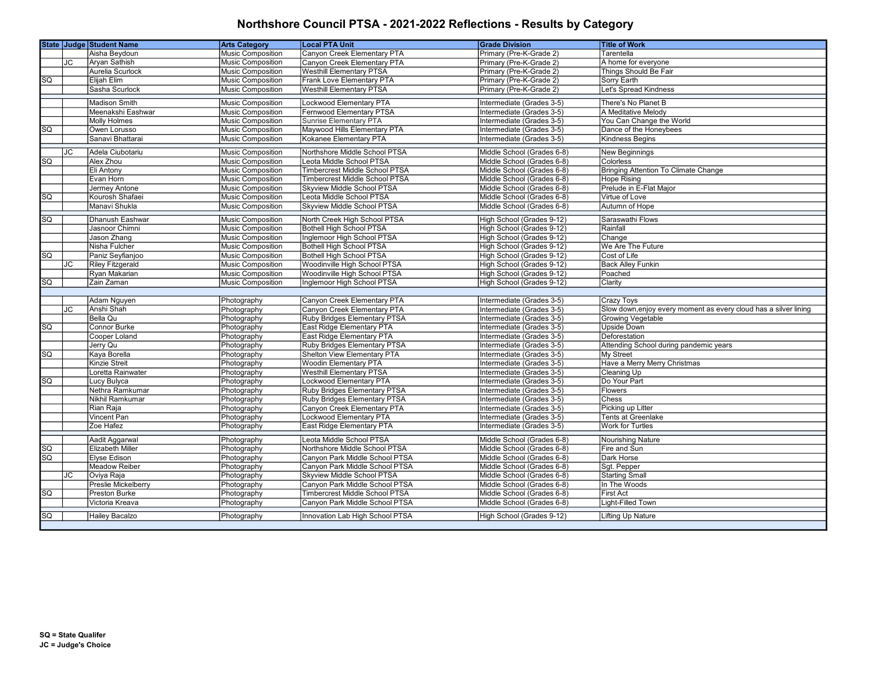|                        |    | State Judge Student Name   | <b>Arts Category</b>     | <b>Local PTA Unit</b>                 | <b>Grade Division</b>      | <b>Title of Work</b>                                             |
|------------------------|----|----------------------------|--------------------------|---------------------------------------|----------------------------|------------------------------------------------------------------|
|                        |    | Aisha Beydoun              | <b>Music Composition</b> | Canyon Creek Elementary PTA           | Primary (Pre-K-Grade 2)    | Tarentella                                                       |
|                        | JC | Aryan Sathish              | <b>Music Composition</b> | Canyon Creek Elementary PTA           | Primary (Pre-K-Grade 2)    | A home for everyone                                              |
|                        |    | Aurelia Scurlock           | Music Composition        | <b>Westhill Elementary PTSA</b>       | Primary (Pre-K-Grade 2)    | Things Should Be Fair                                            |
| sa                     |    | Elijah Elim                | Music Composition        | Frank Love Elementary PTA             | Primary (Pre-K-Grade 2)    | Sorry Earth                                                      |
|                        |    | Sasha Scurlock             | Music Composition        | <b>Westhill Elementary PTSA</b>       | Primary (Pre-K-Grade 2)    | Let's Spread Kindness                                            |
|                        |    | Madison Smith              | Music Composition        | Lockwood Elementary PTA               | Intermediate (Grades 3-5)  | There's No Planet B                                              |
|                        |    | Meenakshi Eashwar          | <b>Music Composition</b> | Fernwood Elementary PTSA              | Intermediate (Grades 3-5)  | A Meditative Melody                                              |
|                        |    | <b>Molly Holmes</b>        | <b>Music Composition</b> | <b>Sunrise Elementary PTA</b>         | Intermediate (Grades 3-5)  | You Can Change the World                                         |
| SQ                     |    | Owen Lorusso               | Music Composition        | Maywood Hills Elementary PTA          | Intermediate (Grades 3-5)  | Dance of the Honeybees                                           |
|                        |    | Sanavi Bhattarai           | <b>Music Composition</b> | Kokanee Elementary PTA                | Intermediate (Grades 3-5)  | <b>Kindness Begins</b>                                           |
|                        | JC | Adela Ciubotariu           | <b>Music Composition</b> | Northshore Middle School PTSA         | Middle School (Grades 6-8) | New Beginnings                                                   |
| SQ                     |    | Alex Zhou                  | Music Composition        | Leota Middle School PTSA              | Middle School (Grades 6-8) | Colorless                                                        |
|                        |    | Eli Antony                 | Music Composition        | Timbercrest Middle School PTSA        | Middle School (Grades 6-8) | Bringing Attention To Climate Change                             |
|                        |    | Evan Horn                  | Music Composition        | <b>Timbercrest Middle School PTSA</b> | Middle School (Grades 6-8) | <b>Hope Rising</b>                                               |
|                        |    | Jermey Antone              | Music Composition        | <b>Skyview Middle School PTSA</b>     | Middle School (Grades 6-8) | Prelude in E-Flat Major                                          |
| <b>SQ</b>              |    | Kourosh Shafaei            | Music Composition        | Leota Middle School PTSA              | Middle School (Grades 6-8) | Virtue of Love                                                   |
|                        |    | Manavi Shukla              | Music Composition        | Skyview Middle School PTSA            | Middle School (Grades 6-8) | Autumn of Hope                                                   |
|                        |    |                            |                          |                                       |                            |                                                                  |
| <b>SQ</b>              |    | <b>Dhanush Eashwar</b>     | <b>Music Composition</b> | North Creek High School PTSA          | High School (Grades 9-12)  | Saraswathi Flows                                                 |
|                        |    | Jasnoor Chimni             | Music Composition        | <b>Bothell High School PTSA</b>       | High School (Grades 9-12)  | Rainfall                                                         |
|                        |    | Jason Zhang                | Music Composition        | Inglemoor High School PTSA            | High School (Grades 9-12)  | Change                                                           |
|                        |    | Nisha Fulcher              | <b>Music Composition</b> | Bothell High School PTSA              | High School (Grades 9-12)  | We Are The Future                                                |
| SG                     |    | Paniz Seyfianjoo           | <b>Music Composition</b> | <b>Bothell High School PTSA</b>       | High School (Grades 9-12)  | Cost of Life                                                     |
|                        | JC | <b>Riley Fitzgerald</b>    | <b>Music Composition</b> | Woodinville High School PTSA          | High School (Grades 9-12)  | <b>Back Alley Funkin</b>                                         |
|                        |    | Ryan Makarian              | Music Composition        | Woodinville High School PTSA          | High School (Grades 9-12)  | Poached                                                          |
| $\overline{\text{sq}}$ |    | Zain Zaman                 | <b>Music Composition</b> | Inglemoor High School PTSA            | High School (Grades 9-12)  | Clarity                                                          |
|                        |    | Adam Nguyen                | Photography              | Canyon Creek Elementary PTA           | Intermediate (Grades 3-5)  | <b>Crazy Toys</b>                                                |
|                        | JС | Anshi Shah                 | Photography              | Canyon Creek Elementary PTA           | Intermediate (Grades 3-5)  | Slow down, enjoy every moment as every cloud has a silver lining |
|                        |    | Bella Qu                   | Photography              | Ruby Bridges Elementary PTSA          | Intermediate (Grades 3-5)  | <b>Growing Vegetable</b>                                         |
| <b>SQ</b>              |    | Connor Burke               | Photography              | East Ridge Elementary PTA             | Intermediate (Grades 3-5)  | <b>Upside Down</b>                                               |
|                        |    | Cooper Loland              | Photography              | East Ridge Elementary PTA             | Intermediate (Grades 3-5)  | Deforestation                                                    |
|                        |    | Jerry Qu                   | Photography              | Ruby Bridges Elementary PTSA          | Intermediate (Grades 3-5)  | Attending School during pandemic years                           |
| <b>SQ</b>              |    | Kaya Borella               | Photography              | <b>Shelton View Elementary PTA</b>    | Intermediate (Grades 3-5)  | My Street                                                        |
|                        |    | Kinzie Streit              | Photography              | <b>Woodin Elementary PTA</b>          | Intermediate (Grades 3-5)  | Have a Merry Merry Christmas                                     |
|                        |    | Loretta Rainwater          | Photography              | <b>Westhill Elementary PTSA</b>       | Intermediate (Grades 3-5)  | <b>Cleaning Up</b>                                               |
| SG                     |    | Lucy Bulyca                | Photography              | Lockwood Elementary PTA               | Intermediate (Grades 3-5)  | Do Your Part                                                     |
|                        |    | Nethra Ramkumar            | Photography              | Ruby Bridges Elementary PTSA          | Intermediate (Grades 3-5)  | Flowers                                                          |
|                        |    | Nikhil Ramkumar            | Photography              | Ruby Bridges Elementary PTSA          | Intermediate (Grades 3-5)  | Chess                                                            |
|                        |    | Rian Raja                  | Photography              | Canyon Creek Elementary PTA           | Intermediate (Grades 3-5)  | Picking up Litter                                                |
|                        |    | Vincent Pan                | Photography              | Lockwood Elementary PTA               | Intermediate (Grades 3-5)  | <b>Tents at Greenlake</b>                                        |
|                        |    | Zoe Hafez                  | Photography              | East Ridge Elementary PTA             | Intermediate (Grades 3-5)  | <b>Work for Turtles</b>                                          |
|                        |    | Aadit Aggarwal             | Photography              | Leota Middle School PTSA              | Middle School (Grades 6-8) | Nourishing Nature                                                |
| <b>SQ</b>              |    | <b>Elizabeth Miller</b>    | Photography              | Northshore Middle School PTSA         | Middle School (Grades 6-8) | Fire and Sun                                                     |
| sa                     |    | <b>Elyse Edison</b>        | Photography              | Canvon Park Middle School PTSA        | Middle School (Grades 6-8) | Dark Horse                                                       |
|                        |    | <b>Meadow Reiber</b>       | Photography              | Canyon Park Middle School PTSA        | Middle School (Grades 6-8) | Sgt. Pepper                                                      |
|                        | JС | Oviya Raja                 | Photography              | Skyview Middle School PTSA            | Middle School (Grades 6-8) | <b>Starting Small</b>                                            |
|                        |    | <b>Preslie Mickelberry</b> | Photography              | Canyon Park Middle School PTSA        | Middle School (Grades 6-8) | In The Woods                                                     |
| <b>SQ</b>              |    | <b>Preston Burke</b>       | Photography              | Timbercrest Middle School PTSA        | Middle School (Grades 6-8) | <b>First Act</b>                                                 |
|                        |    | Victoria Kreava            | Photography              | Canyon Park Middle School PTSA        | Middle School (Grades 6-8) | <b>Light-Filled Town</b>                                         |
| <b>SQ</b>              |    | <b>Hailey Bacalzo</b>      |                          | Innovation Lab High School PTSA       | High School (Grades 9-12)  | <b>Lifting Up Nature</b>                                         |
|                        |    |                            | Photography              |                                       |                            |                                                                  |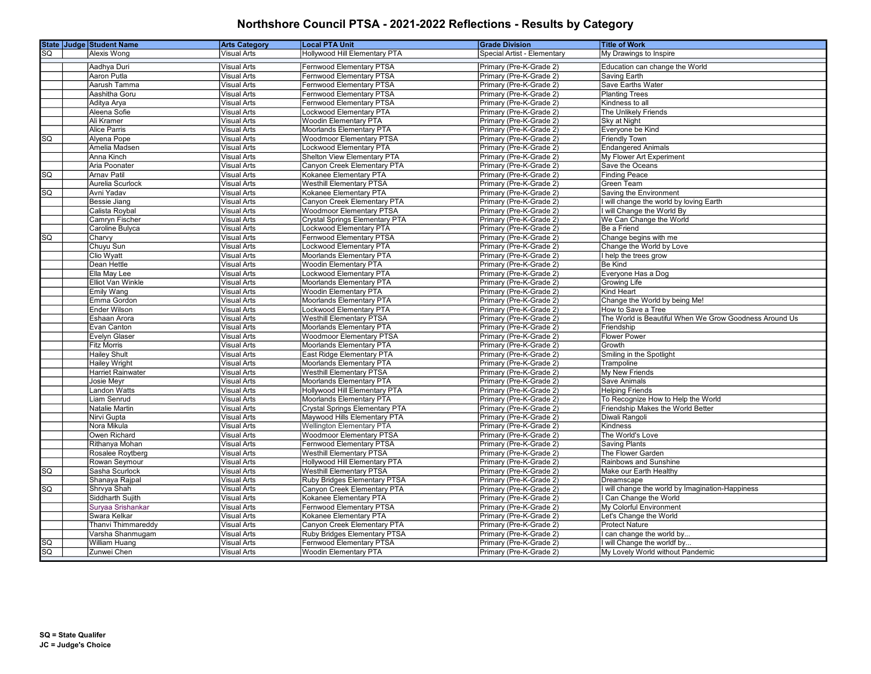|                 | State Judge Student Name    | <b>Arts Category</b>              | <b>Local PTA Unit</b>                             | <b>Grade Division</b>                              | <b>Title of Work</b>                                   |
|-----------------|-----------------------------|-----------------------------------|---------------------------------------------------|----------------------------------------------------|--------------------------------------------------------|
| SQ              | Alexis Wong                 | Visual Arts                       | Hollywood Hill Elementary PTA                     | Special Artist - Elementary                        | My Drawings to Inspire                                 |
|                 | Aadhya Duri                 | Visual Arts                       | Fernwood Elementary PTSA                          | Primary (Pre-K-Grade 2)                            | Education can change the World                         |
|                 | <b>Aaron Putla</b>          | <b>Visual Arts</b>                | Fernwood Elementary PTSA                          | Primary (Pre-K-Grade 2)                            | Saving Earth                                           |
|                 | Aarush Tamma                | <b>Visual Arts</b>                | Fernwood Elementary PTSA                          | Primary (Pre-K-Grade 2)                            | Save Earths Water                                      |
|                 | Aashitha Goru               | <b>Visual Arts</b>                | Fernwood Elementary PTSA                          | Primary (Pre-K-Grade 2)                            | <b>Planting Trees</b>                                  |
|                 |                             | Visual Arts                       | Fernwood Elementary PTSA                          |                                                    |                                                        |
|                 | Aditya Arya<br>Aleena Sofie | <b>Visual Arts</b>                | Lockwood Elementary PTA                           | Primary (Pre-K-Grade 2)<br>Primary (Pre-K-Grade 2) | Kindness to all<br>The Unlikely Friends                |
|                 | Ali Kramer                  | <b>Visual Arts</b>                | <b>Woodin Elementary PTA</b>                      | Primary (Pre-K-Grade 2)                            | Sky at Night                                           |
|                 | <b>Alice Parris</b>         | <b>Visual Arts</b>                | Moorlands Elementary PTA                          | Primary (Pre-K-Grade 2)                            | Everyone be Kind                                       |
| $\overline{sq}$ | Alvena Pope                 | <b>Visual Arts</b>                | <b>Woodmoor Elementary PTSA</b>                   | Primary (Pre-K-Grade 2)                            | <b>Friendly Town</b>                                   |
|                 | Amelia Madsen               | <b>Visual Arts</b>                | Lockwood Elementary PTA                           | Primary (Pre-K-Grade 2)                            | <b>Endangered Animals</b>                              |
|                 | Anna Kinch                  | <b>Visual Arts</b>                | Shelton View Elementary PTA                       | Primary (Pre-K-Grade 2)                            | My Flower Art Experiment                               |
|                 | Aria Poonater               | Visual Arts                       | Canyon Creek Elementary PTA                       | Primary (Pre-K-Grade 2)                            | Save the Oceans                                        |
| <b>SQ</b>       | Arnav Patil                 | <b>Visual Arts</b>                | Kokanee Elementary PTA                            | Primary (Pre-K-Grade 2)                            | <b>Finding Peace</b>                                   |
|                 | Aurelia Scurlock            | <b>Visual Arts</b>                | <b>Westhill Elementary PTSA</b>                   | Primary (Pre-K-Grade 2)                            | <b>Green Team</b>                                      |
| SQ              | Avni Yadav                  | <b>Visual Arts</b>                | Kokanee Elementary PTA                            | Primary (Pre-K-Grade 2)                            | Saving the Environment                                 |
|                 | <b>Bessie Jiang</b>         | <b>Visual Arts</b>                | Canyon Creek Elementary PTA                       | Primary (Pre-K-Grade 2)                            | I will change the world by loving Earth                |
|                 | Calista Roybal              | Visual Arts                       | <b>Woodmoor Elementary PTSA</b>                   | Primary (Pre-K-Grade 2)                            | I will Change the World By                             |
|                 | Camryn Fischer              | <b>Visual Arts</b>                | <b>Crystal Springs Elementary PTA</b>             | Primary (Pre-K-Grade 2)                            | We Can Change the World                                |
|                 | Caroline Bulyca             | <b>Visual Arts</b>                | <b>Lockwood Elementary PTA</b>                    | Primary (Pre-K-Grade 2)                            | Be a Friend                                            |
| SQ              | Charvy                      | <b>Visual Arts</b>                | Fernwood Elementary PTSA                          | Primary (Pre-K-Grade 2)                            | Change begins with me                                  |
|                 |                             |                                   |                                                   |                                                    |                                                        |
|                 | Chuyu Sun                   | <b>Visual Arts</b>                | Lockwood Elementary PTA                           | Primary (Pre-K-Grade 2)                            | Change the World by Love                               |
|                 | Clio Wyatt<br>Dean Hettle   | Visual Arts<br><b>Visual Arts</b> | Moorlands Elementary PTA<br>Woodin Elementary PTA | Primary (Pre-K-Grade 2)<br>Primary (Pre-K-Grade 2) | I help the trees grow<br><b>Be Kind</b>                |
|                 | Ella May Lee                | <b>Visual Arts</b>                | Lockwood Elementary PTA                           | Primary (Pre-K-Grade 2)                            | Everyone Has a Dog                                     |
|                 | Elliot Van Winkle           | Visual Arts                       | Moorlands Elementary PTA                          |                                                    |                                                        |
|                 | <b>Emily Wang</b>           | <b>Visual Arts</b>                | <b>Woodin Elementary PTA</b>                      | Primary (Pre-K-Grade 2)<br>Primary (Pre-K-Grade 2) | Growing Life<br><b>Kind Heart</b>                      |
|                 | Emma Gordon                 | <b>Visual Arts</b>                | Moorlands Elementary PTA                          | Primary (Pre-K-Grade 2)                            | Change the World by being Me!                          |
|                 | <b>Ender Wilson</b>         | <b>Visual Arts</b>                | <b>Lockwood Elementary PTA</b>                    | Primary (Pre-K-Grade 2)                            | How to Save a Tree                                     |
|                 | Eshaan Arora                | Visual Arts                       | <b>Westhill Elementary PTSA</b>                   | Primary (Pre-K-Grade 2)                            | The World is Beautiful When We Grow Goodness Around Us |
|                 | Evan Canton                 | <b>Visual Arts</b>                | <b>Moorlands Elementary PTA</b>                   | Primary (Pre-K-Grade 2)                            | Friendship                                             |
|                 | <b>Evelyn Glaser</b>        | Visual Arts                       | <b>Woodmoor Elementary PTSA</b>                   | Primary (Pre-K-Grade 2)                            | <b>Flower Power</b>                                    |
|                 | <b>Fitz Morris</b>          | <b>Visual Arts</b>                | Moorlands Elementary PTA                          | Primary (Pre-K-Grade 2)                            | Growth                                                 |
|                 | <b>Hailey Shult</b>         | <b>Visual Arts</b>                | East Ridge Elementary PTA                         | Primary (Pre-K-Grade 2)                            | Smiling in the Spotlight                               |
|                 | <b>Hailey Wright</b>        | Visual Arts                       | Moorlands Elementary PTA                          | Primary (Pre-K-Grade 2)                            | Trampoline                                             |
|                 | <b>Harriet Rainwater</b>    | <b>Visual Arts</b>                | <b>Westhill Elementary PTSA</b>                   | Primary (Pre-K-Grade 2)                            | <b>My New Friends</b>                                  |
|                 | Josie Meyr                  | <b>Visual Arts</b>                | <b>Moorlands Elementary PTA</b>                   | Primary (Pre-K-Grade 2)                            | Save Animals                                           |
|                 | Landon Watts                | Visual Arts                       | Hollywood Hill Elementary PTA                     | Primary (Pre-K-Grade 2)                            | <b>Helping Friends</b>                                 |
|                 | Liam Senrud                 | <b>Visual Arts</b>                | <b>Moorlands Elementary PTA</b>                   | Primary (Pre-K-Grade 2)                            | To Recognize How to Help the World                     |
|                 | Natalie Martin              | <b>Visual Arts</b>                | <b>Crystal Springs Elementary PTA</b>             | Primary (Pre-K-Grade 2)                            | Friendship Makes the World Better                      |
|                 | Nirvi Gupta                 | <b>Visual Arts</b>                | Maywood Hills Elementary PTA                      | Primary (Pre-K-Grade 2)                            | Diwali Rangoli                                         |
|                 | Nora Mikula                 | <b>Visual Arts</b>                | <b>Wellington Elementary PTA</b>                  | Primary (Pre-K-Grade 2)                            | Kindness                                               |
|                 | Owen Richard                | <b>Visual Arts</b>                | <b>Woodmoor Elementary PTSA</b>                   | Primary (Pre-K-Grade 2)                            | The World's Love                                       |
|                 | Rithanya Mohan              | Visual Arts                       | Fernwood Elementary PTSA                          | Primary (Pre-K-Grade 2)                            | <b>Saving Plants</b>                                   |
|                 | Rosalee Roytberg            | <b>Visual Arts</b>                | <b>Westhill Elementary PTSA</b>                   | Primary (Pre-K-Grade 2)                            | The Flower Garden                                      |
|                 | Rowan Seymour               | <b>Visual Arts</b>                | Hollywood Hill Elementary PTA                     | Primary (Pre-K-Grade 2)                            | Rainbows and Sunshine                                  |
| SQ              | Sasha Scurlock              | <b>Visual Arts</b>                | <b>Westhill Elementary PTSA</b>                   | Primary (Pre-K-Grade 2)                            | Make our Earth Healthy                                 |
|                 | Shanaya Rajpal              | <b>Visual Arts</b>                | Ruby Bridges Elementary PTSA                      | Primary (Pre-K-Grade 2)                            | Dreamscape                                             |
| SG              | Shrvya Shah                 | <b>Visual Arts</b>                | Canyon Creek Elementary PTA                       | Primary (Pre-K-Grade 2)                            | will change the world by Imagination-Happiness         |
|                 | Siddharth Sujith            | <b>Visual Arts</b>                | Kokanee Elementary PTA                            | Primary (Pre-K-Grade 2)                            | Can Change the World                                   |
|                 | Suryaa Srishankar           | Visual Arts                       | Fernwood Elementary PTSA                          | Primary (Pre-K-Grade 2)                            | My Colorful Environment                                |
|                 | Swara Kelkar                | <b>Visual Arts</b>                | Kokanee Elementary PTA                            | Primary (Pre-K-Grade 2)                            | Let's Change the World                                 |
|                 | Thanvi Thimmareddy          | <b>Visual Arts</b>                | Canyon Creek Elementary PTA                       | Primary (Pre-K-Grade 2)                            | <b>Protect Nature</b>                                  |
|                 | Varsha Shanmugam            | <b>Visual Arts</b>                | Ruby Bridges Elementary PTSA                      | Primary (Pre-K-Grade 2)                            | I can change the world by                              |
| SQ              | William Huang               | <b>Visual Arts</b>                | Fernwood Elementary PTSA                          | Primary (Pre-K-Grade 2)                            | will Change the worldf by.                             |
|                 | Zunwei Chen                 | Visual Arts                       | <b>Woodin Elementary PTA</b>                      | Primary (Pre-K-Grade 2)                            | My Lovely World without Pandemic                       |
| $\overline{SQ}$ |                             |                                   |                                                   |                                                    |                                                        |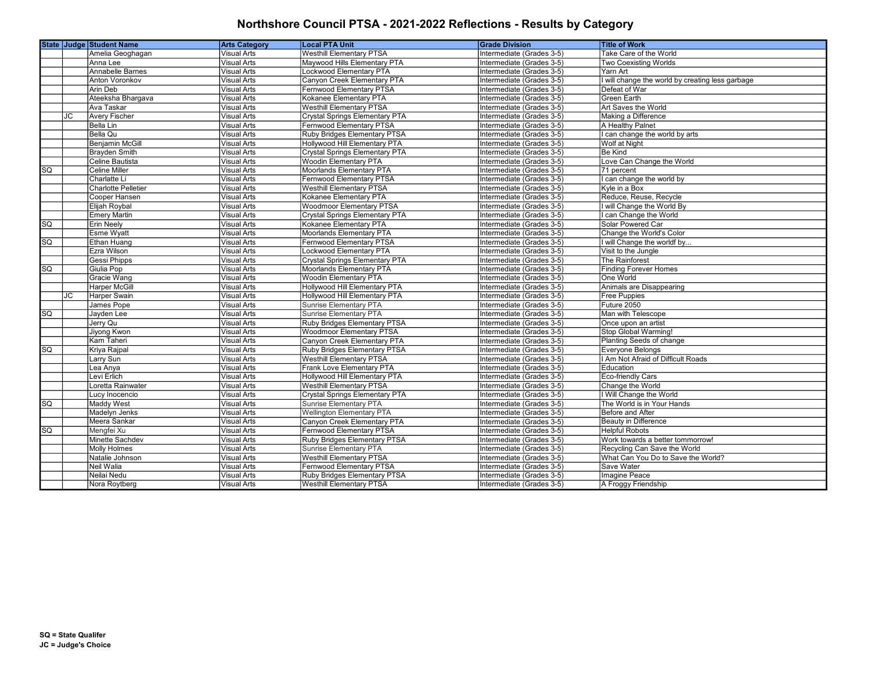|                        |    | State Judge Student Name               | <b>Arts Category</b>                     | <b>Local PTA Unit</b>                                                  | <b>Grade Division</b>                                  | <b>Title of Work</b>                                             |
|------------------------|----|----------------------------------------|------------------------------------------|------------------------------------------------------------------------|--------------------------------------------------------|------------------------------------------------------------------|
|                        |    | Amelia Geoghagan                       | <b>Visual Arts</b>                       | <b>Westhill Elementary PTSA</b>                                        | Intermediate (Grades 3-5)                              | Take Care of the World                                           |
|                        |    | Anna Lee                               | Visual Arts                              | Maywood Hills Elementary PTA                                           | Intermediate (Grades 3-5)                              | <b>Two Coexisting Worlds</b>                                     |
|                        |    | Annabelle Barnes                       | <b>Visual Arts</b>                       | <b>Lockwood Elementary PTA</b>                                         | Intermediate (Grades 3-5)                              | Yarn Art                                                         |
|                        |    | <b>Anton Voronkov</b>                  | <b>Visual Arts</b>                       | Canyon Creek Elementary PTA                                            | Intermediate (Grades 3-5)                              | will change the world by creating less garbage                   |
|                        |    | <b>Arin Deb</b>                        | <b>Visual Arts</b>                       | Fernwood Elementary PTSA                                               | Intermediate (Grades 3-5)                              | Defeat of War                                                    |
|                        |    | Ateeksha Bhargava                      | <b>Visual Arts</b>                       | Kokanee Elementary PTA                                                 | Intermediate (Grades 3-5)                              | <b>Green Earth</b>                                               |
|                        |    | Ava Taskar                             | <b>Visual Arts</b>                       | <b>Westhill Elementary PTSA</b>                                        | Intermediate (Grades 3-5)                              | Art Saves the World                                              |
|                        | JC | <b>Avery Fischer</b>                   | Visual Arts                              | <b>Crystal Springs Elementary PTA</b>                                  | Intermediate (Grades 3-5)                              | Making a Difference                                              |
|                        |    | Bella Lin                              | Visual Arts                              | Fernwood Elementary PTSA                                               | Intermediate (Grades 3-5)                              | A Healthy Palnet                                                 |
|                        |    | <b>Bella Qu</b>                        | Visual Arts                              | Ruby Bridges Elementary PTSA                                           | Intermediate (Grades 3-5)                              | can change the world by arts                                     |
|                        |    | <b>Benjamin McGill</b>                 | <b>Visual Arts</b>                       | Hollywood Hill Elementary PTA                                          | Intermediate (Grades 3-5)                              | Wolf at Night                                                    |
|                        |    | Brayden Smith                          | <b>Visual Arts</b>                       | <b>Crystal Springs Elementary PTA</b>                                  | Intermediate (Grades 3-5)                              | <b>Be Kind</b>                                                   |
|                        |    | Celine Bautista                        | <b>Visual Arts</b>                       | <b>Woodin Elementary PTA</b>                                           | Intermediate (Grades 3-5)                              | Love Can Change the World                                        |
| SQ                     |    | <b>Celine Miller</b>                   | <b>Visual Arts</b>                       | <b>Moorlands Elementary PTA</b>                                        | Intermediate (Grades 3-5)                              | 71 percent                                                       |
|                        |    | Charlatte Li                           | <b>Visual Arts</b>                       | Fernwood Elementary PTSA                                               | Intermediate (Grades 3-5)                              | can change the world by                                          |
|                        |    | <b>Charlotte Pelletier</b>             | <b>Visual Arts</b>                       | <b>Westhill Elementary PTSA</b>                                        | Intermediate (Grades 3-5)                              | Kyle in a Box                                                    |
|                        |    | Cooper Hansen                          | <b>Visual Arts</b>                       | Kokanee Elementary PTA                                                 | Intermediate (Grades 3-5)                              | Reduce, Reuse, Recycle                                           |
|                        |    | Elijah Roybal                          | <b>Visual Arts</b>                       | <b>Woodmoor Elementary PTSA</b>                                        | Intermediate (Grades 3-5)                              | I will Change the World By                                       |
|                        |    | <b>Emery Martin</b>                    | <b>Visual Arts</b>                       | <b>Crystal Springs Elementary PTA</b>                                  | Intermediate (Grades 3-5)                              | can Change the World                                             |
| $\overline{SQ}$        |    | <b>Erin Neely</b>                      | <b>Visual Arts</b>                       | Kokanee Elementary PTA                                                 | Intermediate (Grades 3-5)                              | Solar Powered Car                                                |
|                        |    | <b>Esme Wyatt</b>                      | <b>Visual Arts</b>                       | Moorlands Elementary PTA                                               | Intermediate (Grades 3-5)                              | Change the World's Color                                         |
| $\overline{SQ}$        |    | Ethan Huang                            | <b>Visual Arts</b>                       | <b>Fernwood Elementary PTSA</b>                                        | Intermediate (Grades 3-5)                              | I will Change the worldf by                                      |
|                        |    | Ezra Wilson                            | <b>Visual Arts</b>                       | Lockwood Elementary PTA                                                | Intermediate (Grades 3-5)                              | Visit to the Jungle                                              |
|                        |    | <b>Gessi Phipps</b>                    | <b>Visual Arts</b>                       | <b>Crystal Springs Elementary PTA</b>                                  | Intermediate (Grades 3-5)                              | The Rainforest                                                   |
| $\overline{sq}$        |    | Giulia Pop                             | <b>Visual Arts</b>                       | <b>Moorlands Elementary PTA</b>                                        | Intermediate (Grades 3-5)                              | <b>Finding Forever Homes</b>                                     |
|                        |    | Gracie Wang                            | <b>Visual Arts</b>                       | <b>Woodin Elementary PTA</b>                                           | Intermediate (Grades 3-5)                              | One World                                                        |
|                        |    | <b>Harper McGill</b>                   | Visual Arts                              | Hollywood Hill Elementary PTA                                          | Intermediate (Grades 3-5)                              | Animals are Disappearing                                         |
|                        | JC | Harper Swain                           | Visual Arts                              | Hollywood Hill Elementary PTA                                          | Intermediate (Grades 3-5)                              | <b>Free Puppies</b>                                              |
|                        |    | James Pope                             | <b>Visual Arts</b>                       | <b>Sunrise Elementary PTA</b>                                          | Intermediate (Grades 3-5)                              | Future 2050                                                      |
| SQ                     |    | Jayden Lee                             | <b>Visual Arts</b>                       | <b>Sunrise Elementary PTA</b>                                          | Intermediate (Grades 3-5)                              | Man with Telescope                                               |
|                        |    | Jerry Qu                               | <b>Visual Arts</b>                       | Ruby Bridges Elementary PTSA                                           | Intermediate (Grades 3-5)                              | Once upon an artist                                              |
|                        |    | Jiyong Kwon                            | Visual Arts                              | <b>Woodmoor Elementary PTSA</b>                                        | Intermediate (Grades 3-5)                              | Stop Global Warming!                                             |
|                        |    | Kam Taheri                             | Visual Arts                              | Canyon Creek Elementary PTA                                            | Intermediate (Grades 3-5)                              | Planting Seeds of change                                         |
| SQ                     |    | Kriya Rajpal                           | <b>Visual Arts</b>                       | Ruby Bridges Elementary PTSA                                           | Intermediate (Grades 3-5)                              | Everyone Belongs                                                 |
|                        |    | Larry Sun                              | <b>Visual Arts</b>                       | <b>Westhill Elementary PTSA</b>                                        | Intermediate (Grades 3-5)                              | I Am Not Afraid of Difficult Roads                               |
|                        |    | Lea Anya                               | <b>Visual Arts</b>                       | Frank Love Elementary PTA                                              | Intermediate (Grades 3-5)                              | Education                                                        |
|                        |    | Levi Erlich                            | <b>Visual Arts</b>                       | Hollywood Hill Elementary PTA                                          | Intermediate (Grades 3-5)                              | Eco-friendly Cars                                                |
|                        |    | Loretta Rainwater                      | <b>Visual Arts</b>                       | <b>Westhill Elementary PTSA</b>                                        | Intermediate (Grades 3-5)                              | Change the World                                                 |
|                        |    | Lucy Inocencio                         | <b>Visual Arts</b>                       | <b>Crystal Springs Elementary PTA</b><br><b>Sunrise Elementary PTA</b> | Intermediate (Grades 3-5)                              | I Will Change the World<br>The World is in Your Hands            |
| $\overline{SQ}$        |    | Maddy West                             | <b>Visual Arts</b><br><b>Visual Arts</b> | <b>Wellington Elementary PTA</b>                                       | Intermediate (Grades 3-5)                              |                                                                  |
|                        |    | Madelyn Jenks                          |                                          |                                                                        | Intermediate (Grades 3-5)                              | Before and After                                                 |
| $\overline{\text{so}}$ |    | Meera Sankar<br>Mengfei Xu             | <b>Visual Arts</b><br><b>Visual Arts</b> | Canyon Creek Elementary PTA<br>Fernwood Elementary PTSA                | Intermediate (Grades 3-5)<br>Intermediate (Grades 3-5) | Beauty in Difference<br><b>Helpful Robots</b>                    |
|                        |    |                                        |                                          |                                                                        |                                                        |                                                                  |
|                        |    | Minette Sachdev<br><b>Molly Holmes</b> | <b>Visual Arts</b><br><b>Visual Arts</b> | Ruby Bridges Elementary PTSA<br><b>Sunrise Elementary PTA</b>          | Intermediate (Grades 3-5)<br>Intermediate (Grades 3-5) | Work towards a better tommorrow!<br>Recycling Can Save the World |
|                        |    | Natalie Johnson                        | Visual Arts                              | <b>Westhill Elementary PTSA</b>                                        | Intermediate (Grades 3-5)                              | What Can You Do to Save the World?                               |
|                        |    | Neil Walia                             | Visual Arts                              | Fernwood Elementary PTSA                                               | Intermediate (Grades 3-5)                              | Save Water                                                       |
|                        |    | Neilai Nedu                            | Visual Arts                              | Ruby Bridges Elementary PTSA                                           | Intermediate (Grades 3-5)                              | Imagine Peace                                                    |
|                        |    |                                        |                                          |                                                                        |                                                        |                                                                  |
|                        |    | Nora Roytberg                          | Visual Arts                              | <b>Westhill Elementary PTSA</b>                                        | Intermediate (Grades 3-5)                              | A Froggy Friendship                                              |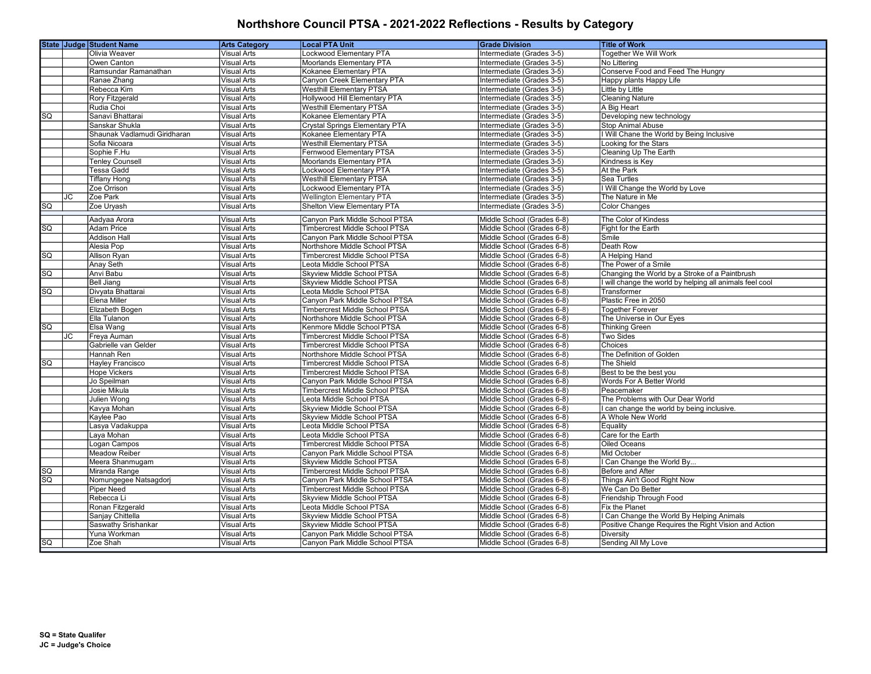|                        |    | <b>State Judge Student Name</b> | <b>Arts Category</b> | <b>Local PTA Unit</b>                 | <b>Grade Division</b>      | <b>Title of Work</b>                                     |
|------------------------|----|---------------------------------|----------------------|---------------------------------------|----------------------------|----------------------------------------------------------|
|                        |    | Olivia Weaver                   | <b>Visual Arts</b>   | Lockwood Elementary PTA               | Intermediate (Grades 3-5)  | Together We Will Work                                    |
|                        |    | Owen Canton                     | <b>Visual Arts</b>   | Moorlands Elementary PTA              | Intermediate (Grades 3-5)  | No Littering                                             |
|                        |    | Ramsundar Ramanathan            | <b>Visual Arts</b>   | Kokanee Elementary PTA                | Intermediate (Grades 3-5)  | Conserve Food and Feed The Hungry                        |
|                        |    | Ranae Zhang                     | <b>Visual Arts</b>   | Canyon Creek Elementary PTA           | Intermediate (Grades 3-5)  | Happy plants Happy Life                                  |
|                        |    | Rebecca Kim                     | <b>Visual Arts</b>   | <b>Westhill Elementary PTSA</b>       | Intermediate (Grades 3-5)  | Little by Little                                         |
|                        |    | Rory Fitzgerald                 | <b>Visual Arts</b>   | Hollywood Hill Elementary PTA         | Intermediate (Grades 3-5)  | <b>Cleaning Nature</b>                                   |
|                        |    | Rudia Choi                      | <b>Visual Arts</b>   | <b>Westhill Elementary PTSA</b>       | Intermediate (Grades 3-5)  | A Big Heart                                              |
| $\overline{SQ}$        |    | Sanavi Bhattarai                | <b>Visual Arts</b>   | Kokanee Elementary PTA                | Intermediate (Grades 3-5)  | Developing new technology                                |
|                        |    | Sanskar Shukla                  | <b>Visual Arts</b>   | <b>Crystal Springs Elementary PTA</b> | Intermediate (Grades 3-5)  | <b>Stop Animal Abuse</b>                                 |
|                        |    | Shaunak Vadlamudi Giridharan    | Visual Arts          | Kokanee Elementary PTA                | Intermediate (Grades 3-5)  | I Will Chane the World by Being Inclusive                |
|                        |    | Sofia Nicoara                   | <b>Visual Arts</b>   | <b>Westhill Elementary PTSA</b>       | Intermediate (Grades 3-5)  | Looking for the Stars                                    |
|                        |    | Sophie F.Hu                     | <b>Visual Arts</b>   | Fernwood Elementary PTSA              | Intermediate (Grades 3-5)  | Cleaning Up The Earth                                    |
|                        |    | <b>Tenley Counsell</b>          | <b>Visual Arts</b>   | <b>Moorlands Elementary PTA</b>       | Intermediate (Grades 3-5)  | Kindness is Key                                          |
|                        |    | <b>Tessa Gadd</b>               | Visual Arts          | Lockwood Elementary PTA               | Intermediate (Grades 3-5)  | At the Park                                              |
|                        |    | <b>Tiffany Hong</b>             | <b>Visual Arts</b>   | <b>Westhill Elementary PTSA</b>       | Intermediate (Grades 3-5)  | Sea Turtles                                              |
|                        |    | Zoe Orrison                     | <b>Visual Arts</b>   | Lockwood Elementary PTA               | Intermediate (Grades 3-5)  | Will Change the World by Love                            |
|                        | JC | Zoe Park                        | <b>Visual Arts</b>   | <b>Wellington Elementary PTA</b>      | Intermediate (Grades 3-5)  | The Nature in Me                                         |
| SG                     |    | Zoe Uryash                      | <b>Visual Arts</b>   | Shelton View Elementary PTA           | Intermediate (Grades 3-5)  | Color Changes                                            |
|                        |    | Aadyaa Arora                    | <b>Visual Arts</b>   | Canvon Park Middle School PTSA        | Middle School (Grades 6-8) |                                                          |
| SQ                     |    | <b>Adam Price</b>               | <b>Visual Arts</b>   | <b>Timbercrest Middle School PTSA</b> | Middle School (Grades 6-8) | The Color of Kindess<br>Fight for the Earth              |
|                        |    | <b>Addison Hall</b>             | <b>Visual Arts</b>   | Canyon Park Middle School PTSA        | Middle School (Grades 6-8) | Smile                                                    |
|                        |    | Alesia Pop                      | <b>Visual Arts</b>   | Northshore Middle School PTSA         | Middle School (Grades 6-8) | Death Row                                                |
| SQ                     |    | Allison Rvan                    | <b>Visual Arts</b>   | <b>Timbercrest Middle School PTSA</b> | Middle School (Grades 6-8) | A Helping Hand                                           |
|                        |    | <b>Anay Seth</b>                | <b>Visual Arts</b>   | Leota Middle School PTSA              | Middle School (Grades 6-8) | The Power of a Smile                                     |
| $\overline{\text{sq}}$ |    | Anvi Babu                       | <b>Visual Arts</b>   | Skyview Middle School PTSA            | Middle School (Grades 6-8) | Changing the World by a Stroke of a Paintbrush           |
|                        |    | <b>Bell Jiang</b>               | <b>Visual Arts</b>   | Skyview Middle School PTSA            | Middle School (Grades 6-8) | I will change the world by helping all animals feel cool |
| SQ                     |    | Divyata Bhattarai               | Visual Arts          | Leota Middle School PTSA              | Middle School (Grades 6-8) | Transformer                                              |
|                        |    | <b>Elena Miller</b>             | <b>Visual Arts</b>   | Canyon Park Middle School PTSA        | Middle School (Grades 6-8) | Plastic Free in 2050                                     |
|                        |    | Elizabeth Bogen                 | <b>Visual Arts</b>   | Timbercrest Middle School PTSA        | Middle School (Grades 6-8) | <b>Together Forever</b>                                  |
|                        |    | Ella Tulanon                    | Visual Arts          | Northshore Middle School PTSA         | Middle School (Grades 6-8) | The Universe in Our Eyes                                 |
| SG                     |    | Elsa Wang                       | <b>Visual Arts</b>   | Kenmore Middle School PTSA            | Middle School (Grades 6-8) | <b>Thinking Green</b>                                    |
|                        | JC | Freya Auman                     | <b>Visual Arts</b>   | <b>Timbercrest Middle School PTSA</b> | Middle School (Grades 6-8) | <b>Two Sides</b>                                         |
|                        |    | Gabrielle van Gelder            | <b>Visual Arts</b>   | <b>Timbercrest Middle School PTSA</b> | Middle School (Grades 6-8) | Choices                                                  |
|                        |    | Hannah Ren                      | <b>Visual Arts</b>   | Northshore Middle School PTSA         | Middle School (Grades 6-8) | The Definition of Golden                                 |
| $\overline{SQ}$        |    | Hayley Francisco                | <b>Visual Arts</b>   | <b>Timbercrest Middle School PTSA</b> | Middle School (Grades 6-8) | The Shield                                               |
|                        |    | <b>Hope Vickers</b>             | <b>Visual Arts</b>   | Timbercrest Middle School PTSA        | Middle School (Grades 6-8) | Best to be the best you                                  |
|                        |    | Jo Speilman                     | <b>Visual Arts</b>   | Canyon Park Middle School PTSA        | Middle School (Grades 6-8) | Words For A Better World                                 |
|                        |    | Josie Mikula                    | <b>Visual Arts</b>   | Timbercrest Middle School PTSA        | Middle School (Grades 6-8) | Peacemaker                                               |
|                        |    | Julien Wong                     | <b>Visual Arts</b>   | Leota Middle School PTSA              | Middle School (Grades 6-8) | The Problems with Our Dear World                         |
|                        |    | Kavya Mohan                     | Visual Arts          | Skyview Middle School PTSA            | Middle School (Grades 6-8) | can change the world by being inclusive.                 |
|                        |    | Kaylee Pao                      | <b>Visual Arts</b>   | Skyview Middle School PTSA            | Middle School (Grades 6-8) | A Whole New World                                        |
|                        |    | Lasya Vadakuppa                 | <b>Visual Arts</b>   | Leota Middle School PTSA              | Middle School (Grades 6-8) | Equality                                                 |
|                        |    | Laya Mohan                      | Visual Arts          | Leota Middle School PTSA              | Middle School (Grades 6-8) | Care for the Earth                                       |
|                        |    | Logan Campos                    | <b>Visual Arts</b>   | <b>Timbercrest Middle School PTSA</b> | Middle School (Grades 6-8) | Oiled Oceans                                             |
|                        |    | <b>Meadow Reiber</b>            | <b>Visual Arts</b>   | Canyon Park Middle School PTSA        | Middle School (Grades 6-8) | <b>Mid October</b>                                       |
|                        |    | Meera Shanmugam                 | <b>Visual Arts</b>   | Skyview Middle School PTSA            | Middle School (Grades 6-8) | Can Change the World By                                  |
| SG                     |    | Miranda Range                   | <b>Visual Arts</b>   | <b>Timbercrest Middle School PTSA</b> | Middle School (Grades 6-8) | Before and After                                         |
| $\overline{sq}$        |    | Nomungegee Natsagdorj           | Visual Arts          | Canyon Park Middle School PTSA        | Middle School (Grades 6-8) | Things Ain't Good Right Now                              |
|                        |    | <b>Piper Need</b>               | <b>Visual Arts</b>   | Timbercrest Middle School PTSA        | Middle School (Grades 6-8) | We Can Do Better                                         |
|                        |    | Rebecca Li                      | <b>Visual Arts</b>   | Skyview Middle School PTSA            | Middle School (Grades 6-8) | Friendship Through Food                                  |
|                        |    | Ronan Fitzgerald                | <b>Visual Arts</b>   | Leota Middle School PTSA              | Middle School (Grades 6-8) | Fix the Planet                                           |
|                        |    | Sanjay Chittella                | Visual Arts          | Skyview Middle School PTSA            | Middle School (Grades 6-8) | Can Change the World By Helping Animals                  |
|                        |    | Saswathy Srishankar             | <b>Visual Arts</b>   | Skyview Middle School PTSA            | Middle School (Grades 6-8) | Positive Change Requires the Right Vision and Action     |
|                        |    | Yuna Workman                    | <b>Visual Arts</b>   | Canyon Park Middle School PTSA        | Middle School (Grades 6-8) | Diversity                                                |
| SQ                     |    | Zoe Shah                        | <b>Visual Arts</b>   | Canyon Park Middle School PTSA        | Middle School (Grades 6-8) | Sending All My Love                                      |
|                        |    |                                 |                      |                                       |                            |                                                          |